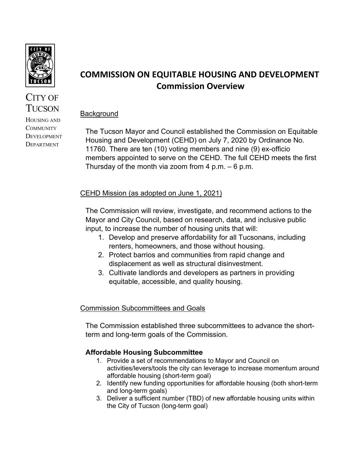

CITY OF **TUCSON** HOUSING AND **COMMUNITY DEVELOPMENT** DEPARTMENT

# **COMMISSION ON EQUITABLE HOUSING AND DEVELOPMENT Commission Overview**

## **Background**

The Tucson Mayor and Council established the Commission on Equitable Housing and Development (CEHD) on July 7, 2020 by Ordinance No. 11760. There are ten (10) voting members and nine (9) ex-officio members appointed to serve on the CEHD. The full CEHD meets the first Thursday of the month via zoom from 4 p.m.  $-6$  p.m.

## CEHD Mission (as adopted on June 1, 2021)

The Commission will review, investigate, and recommend actions to the Mayor and City Council, based on research, data, and inclusive public input, to increase the number of housing units that will:

- 1. Develop and preserve affordability for all Tucsonans, including renters, homeowners, and those without housing.
- 2. Protect barrios and communities from rapid change and displacement as well as structural disinvestment.
- 3. Cultivate landlords and developers as partners in providing equitable, accessible, and quality housing.

## Commission Subcommittees and Goals

The Commission established three subcommittees to advance the shortterm and long-term goals of the Commission.

## **Affordable Housing Subcommittee**

- 1. Provide a set of recommendations to Mayor and Council on activities/levers/tools the city can leverage to increase momentum around affordable housing (short-term goal)
- 2. Identify new funding opportunities for affordable housing (both short-term and long-term goals)
- 3. Deliver a sufficient number (TBD) of new affordable housing units within the City of Tucson (long-term goal)